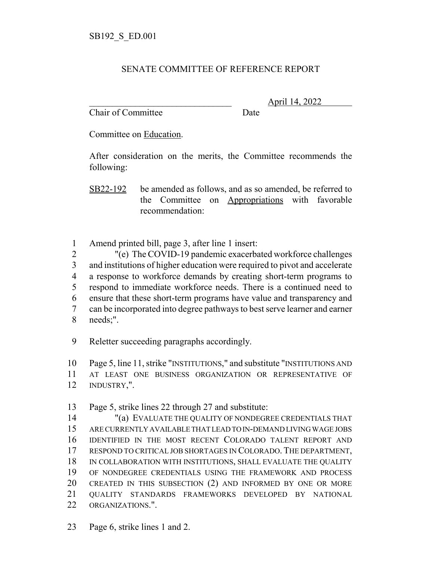## SENATE COMMITTEE OF REFERENCE REPORT

Chair of Committee Date

\_\_\_\_\_\_\_\_\_\_\_\_\_\_\_\_\_\_\_\_\_\_\_\_\_\_\_\_\_\_\_ April 14, 2022

Committee on Education.

After consideration on the merits, the Committee recommends the following:

SB22-192 be amended as follows, and as so amended, be referred to the Committee on Appropriations with favorable recommendation:

Amend printed bill, page 3, after line 1 insert:

 "(e) The COVID-19 pandemic exacerbated workforce challenges and institutions of higher education were required to pivot and accelerate a response to workforce demands by creating short-term programs to respond to immediate workforce needs. There is a continued need to ensure that these short-term programs have value and transparency and can be incorporated into degree pathways to best serve learner and earner needs;".

Reletter succeeding paragraphs accordingly.

 Page 5, line 11, strike "INSTITUTIONS," and substitute "INSTITUTIONS AND AT LEAST ONE BUSINESS ORGANIZATION OR REPRESENTATIVE OF INDUSTRY,".

Page 5, strike lines 22 through 27 and substitute:

 "(a) EVALUATE THE QUALITY OF NONDEGREE CREDENTIALS THAT ARE CURRENTLY AVAILABLE THAT LEAD TO IN-DEMAND LIVING WAGE JOBS IDENTIFIED IN THE MOST RECENT COLORADO TALENT REPORT AND RESPOND TO CRITICAL JOB SHORTAGES IN COLORADO. THE DEPARTMENT, IN COLLABORATION WITH INSTITUTIONS, SHALL EVALUATE THE QUALITY OF NONDEGREE CREDENTIALS USING THE FRAMEWORK AND PROCESS CREATED IN THIS SUBSECTION (2) AND INFORMED BY ONE OR MORE QUALITY STANDARDS FRAMEWORKS DEVELOPED BY NATIONAL ORGANIZATIONS.".

Page 6, strike lines 1 and 2.